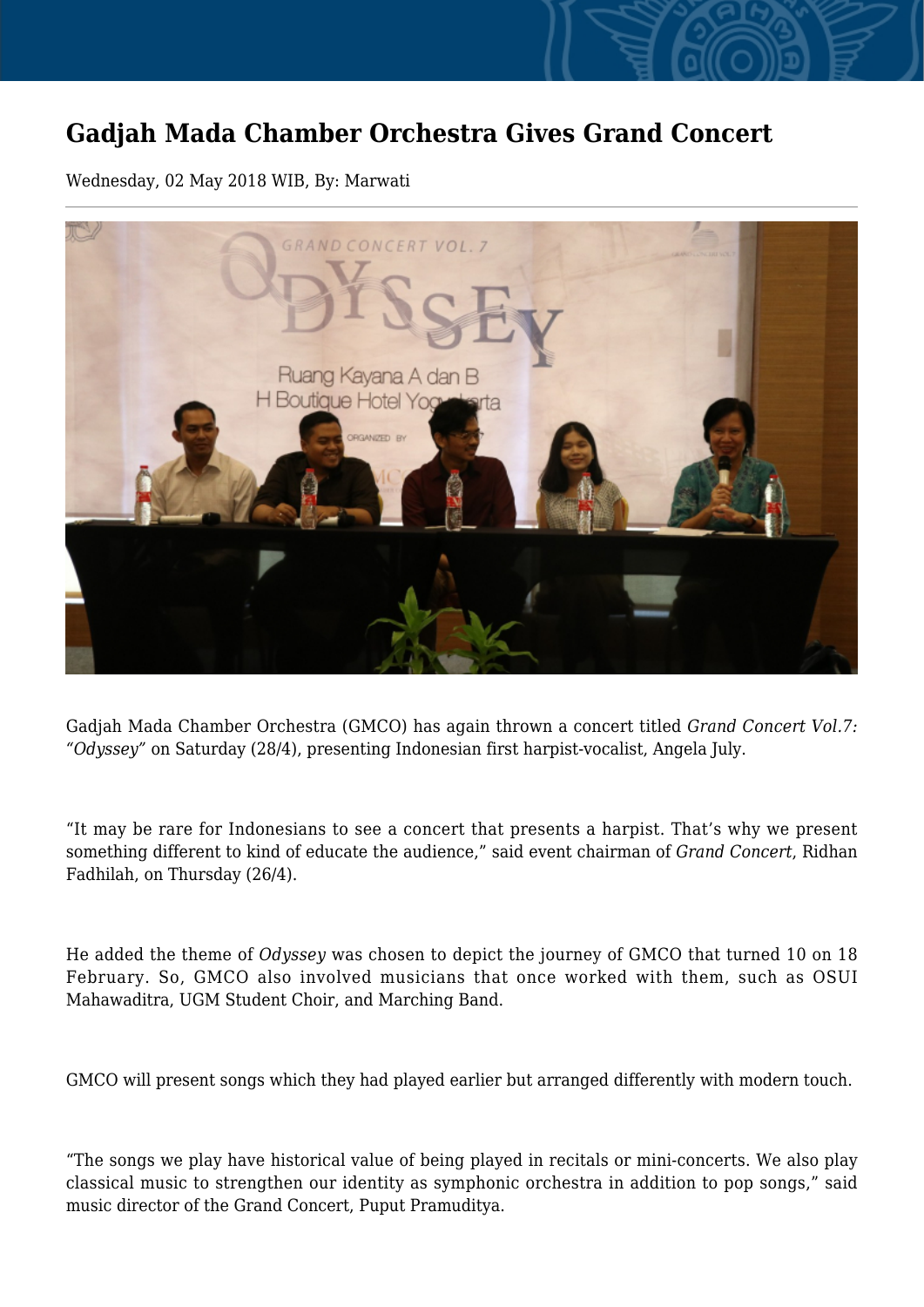## **Gadjah Mada Chamber Orchestra Gives Grand Concert**

Wednesday, 02 May 2018 WIB, By: Marwati



Gadjah Mada Chamber Orchestra (GMCO) has again thrown a concert titled *Grand Concert Vol.7: "Odyssey"* on Saturday (28/4), presenting Indonesian first harpist-vocalist, Angela July.

"It may be rare for Indonesians to see a concert that presents a harpist. That's why we present something different to kind of educate the audience," said event chairman of *Grand Concert*, Ridhan Fadhilah, on Thursday (26/4).

He added the theme of *Odyssey* was chosen to depict the journey of GMCO that turned 10 on 18 February. So, GMCO also involved musicians that once worked with them, such as OSUI Mahawaditra, UGM Student Choir, and Marching Band.

GMCO will present songs which they had played earlier but arranged differently with modern touch.

"The songs we play have historical value of being played in recitals or mini-concerts. We also play classical music to strengthen our identity as symphonic orchestra in addition to pop songs," said music director of the Grand Concert, Puput Pramuditya.